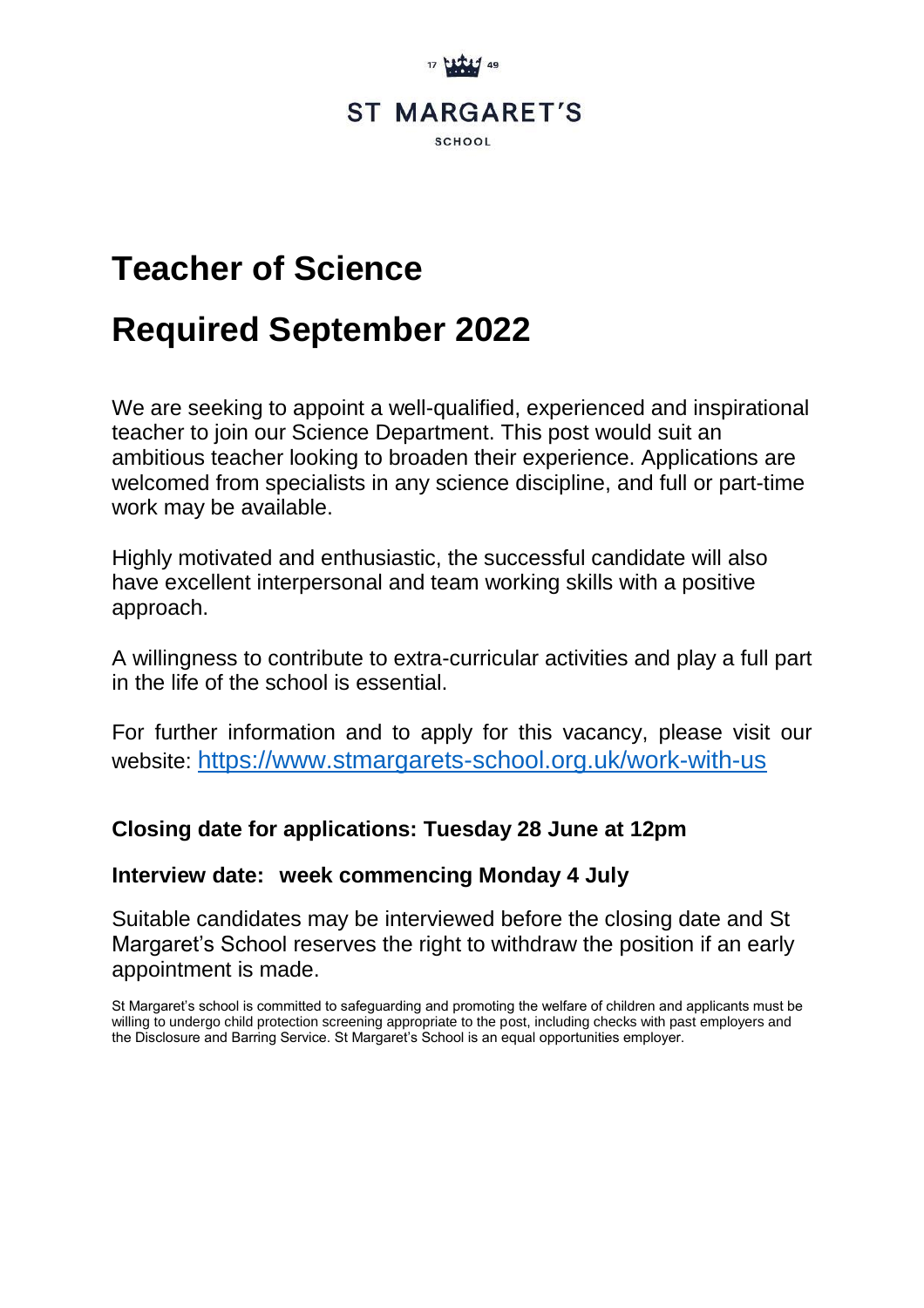

# **Teacher of Science**

# **Required September 2022**

We are seeking to appoint a well-qualified, experienced and inspirational teacher to join our Science Department. This post would suit an ambitious teacher looking to broaden their experience. Applications are welcomed from specialists in any science discipline, and full or part-time work may be available.

Highly motivated and enthusiastic, the successful candidate will also have excellent interpersonal and team working skills with a positive approach.

A willingness to contribute to extra-curricular activities and play a full part in the life of the school is essential.

For further information and to apply for this vacancy, please visit our website: <https://www.stmargarets-school.org.uk/work-with-us>

## **Closing date for applications: Tuesday 28 June at 12pm**

### **Interview date: week commencing Monday 4 July**

Suitable candidates may be interviewed before the closing date and St Margaret's School reserves the right to withdraw the position if an early appointment is made.

St Margaret's school is committed to safeguarding and promoting the welfare of children and applicants must be willing to undergo child protection screening appropriate to the post, including checks with past employers and the Disclosure and Barring Service. St Margaret's School is an equal opportunities employer.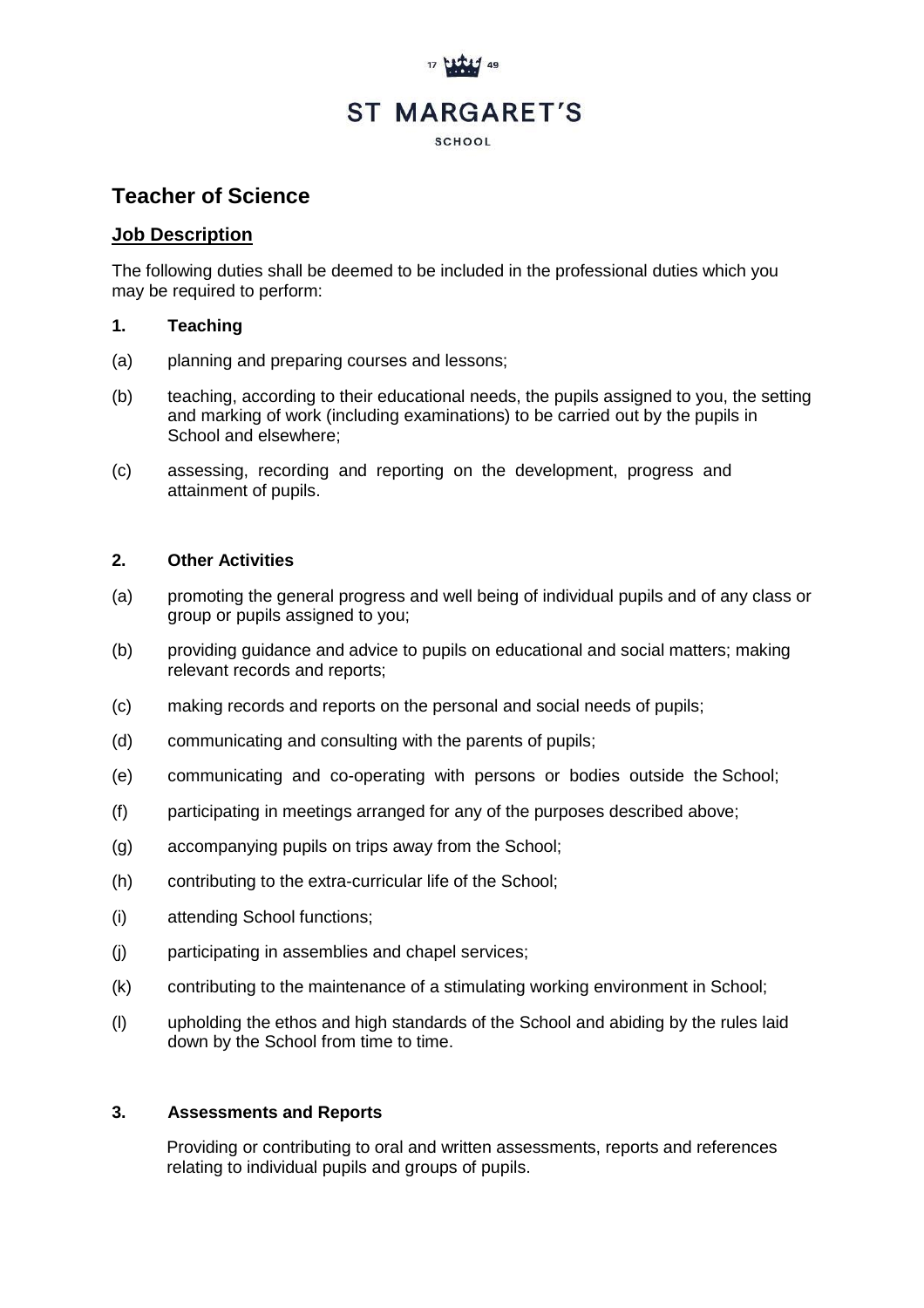

## **Teacher of Science**

#### **Job Description**

The following duties shall be deemed to be included in the professional duties which you may be required to perform:

#### **1. Teaching**

- (a) planning and preparing courses and lessons;
- (b) teaching, according to their educational needs, the pupils assigned to you, the setting and marking of work (including examinations) to be carried out by the pupils in School and elsewhere;
- (c) assessing, recording and reporting on the development, progress and attainment of pupils.

#### **2. Other Activities**

- (a) promoting the general progress and well being of individual pupils and of any class or group or pupils assigned to you;
- (b) providing guidance and advice to pupils on educational and social matters; making relevant records and reports;
- (c) making records and reports on the personal and social needs of pupils;
- (d) communicating and consulting with the parents of pupils;
- (e) communicating and co-operating with persons or bodies outside the School;
- (f) participating in meetings arranged for any of the purposes described above;
- (g) accompanying pupils on trips away from the School;
- (h) contributing to the extra-curricular life of the School;
- (i) attending School functions;
- (j) participating in assemblies and chapel services;
- (k) contributing to the maintenance of a stimulating working environment in School;
- (l) upholding the ethos and high standards of the School and abiding by the rules laid down by the School from time to time.

#### **3. Assessments and Reports**

Providing or contributing to oral and written assessments, reports and references relating to individual pupils and groups of pupils.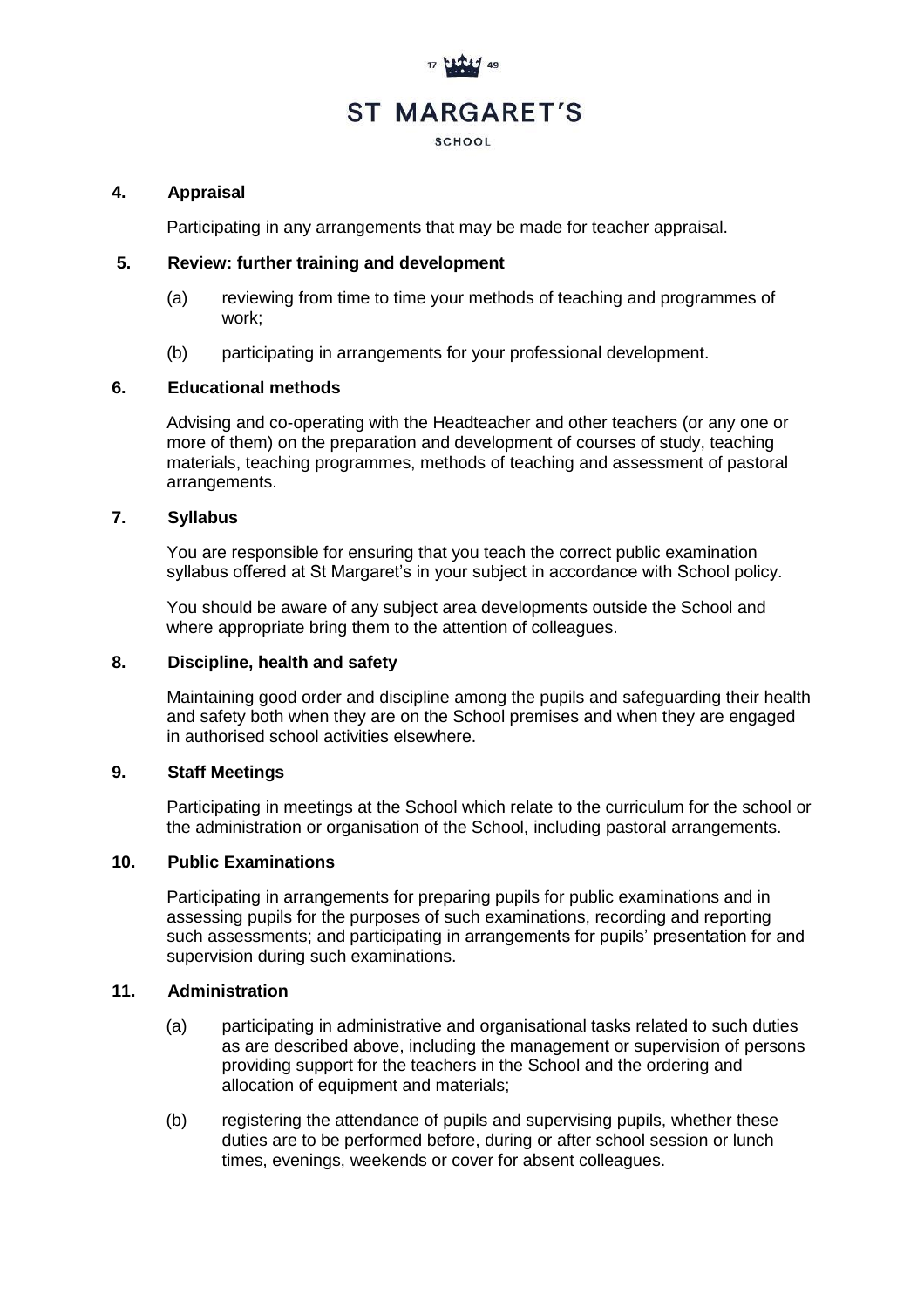

#### **4. Appraisal**

Participating in any arrangements that may be made for teacher appraisal.

#### **5. Review: further training and development**

- (a) reviewing from time to time your methods of teaching and programmes of work;
- (b) participating in arrangements for your professional development.

#### **6. Educational methods**

Advising and co-operating with the Headteacher and other teachers (or any one or more of them) on the preparation and development of courses of study, teaching materials, teaching programmes, methods of teaching and assessment of pastoral arrangements.

#### **7. Syllabus**

You are responsible for ensuring that you teach the correct public examination syllabus offered at St Margaret's in your subject in accordance with School policy.

You should be aware of any subject area developments outside the School and where appropriate bring them to the attention of colleagues.

#### **8. Discipline, health and safety**

Maintaining good order and discipline among the pupils and safeguarding their health and safety both when they are on the School premises and when they are engaged in authorised school activities elsewhere.

#### **9. Staff Meetings**

Participating in meetings at the School which relate to the curriculum for the school or the administration or organisation of the School, including pastoral arrangements.

#### **10. Public Examinations**

Participating in arrangements for preparing pupils for public examinations and in assessing pupils for the purposes of such examinations, recording and reporting such assessments; and participating in arrangements for pupils' presentation for and supervision during such examinations.

#### **11. Administration**

- (a) participating in administrative and organisational tasks related to such duties as are described above, including the management or supervision of persons providing support for the teachers in the School and the ordering and allocation of equipment and materials;
- (b) registering the attendance of pupils and supervising pupils, whether these duties are to be performed before, during or after school session or lunch times, evenings, weekends or cover for absent colleagues.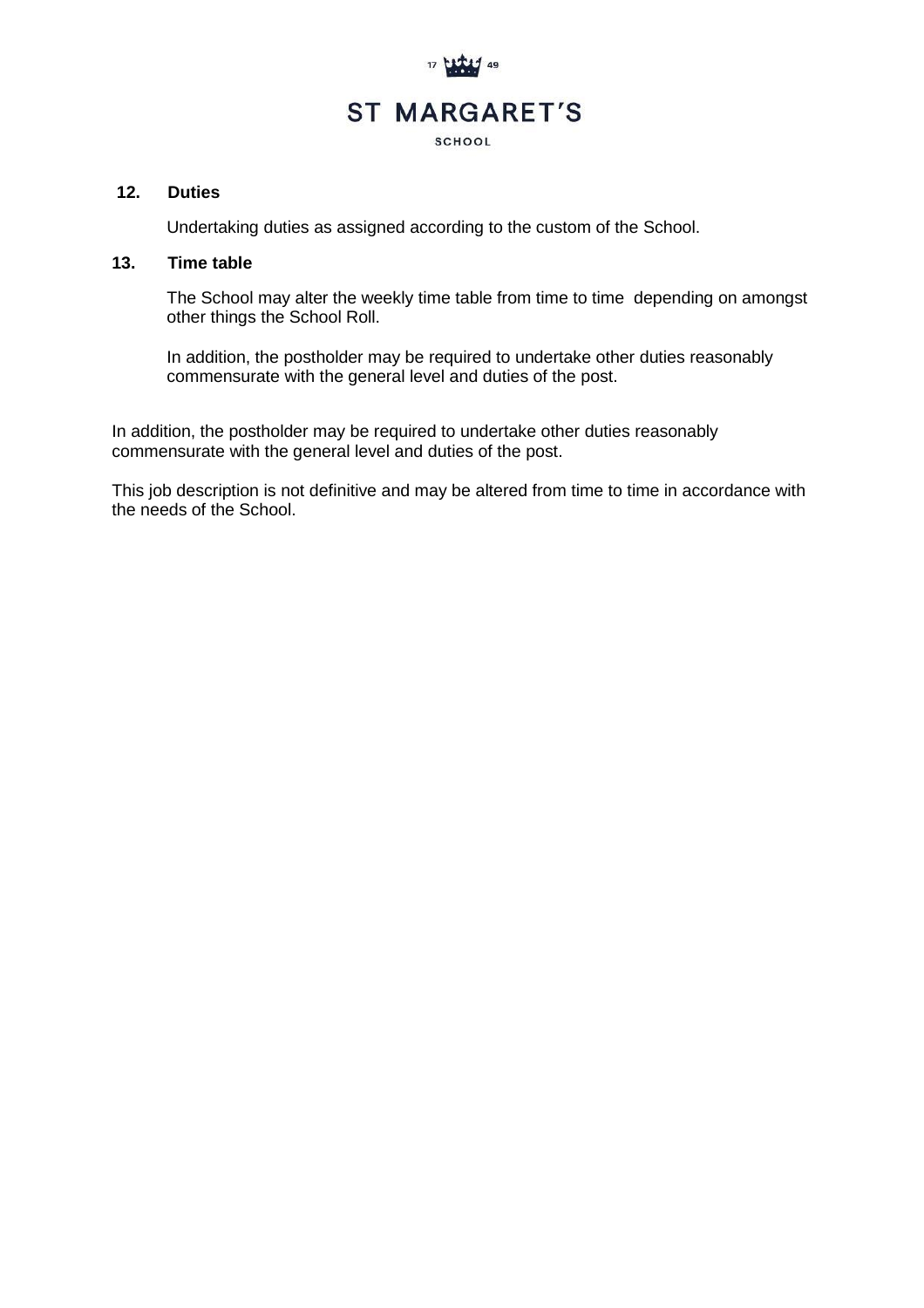

#### **12. Duties**

Undertaking duties as assigned according to the custom of the School.

#### **13. Time table**

The School may alter the weekly time table from time to time depending on amongst other things the School Roll.

In addition, the postholder may be required to undertake other duties reasonably commensurate with the general level and duties of the post.

In addition, the postholder may be required to undertake other duties reasonably commensurate with the general level and duties of the post.

This job description is not definitive and may be altered from time to time in accordance with the needs of the School.